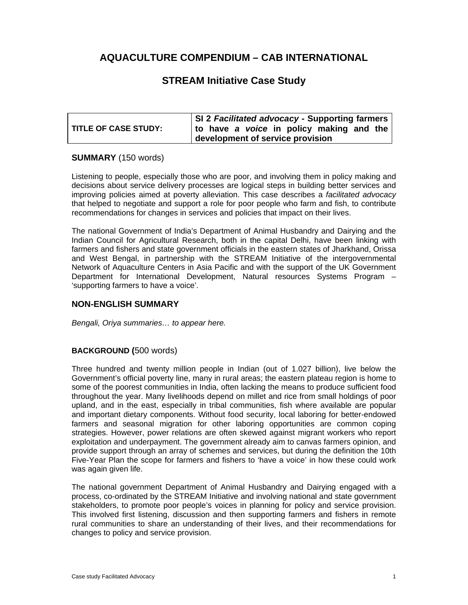# **AQUACULTURE COMPENDIUM – CAB INTERNATIONAL**

# **STREAM Initiative Case Study**

|                             | SI 2 Facilitated advocacy - Supporting farmers |  |
|-----------------------------|------------------------------------------------|--|
| <b>TITLE OF CASE STUDY:</b> | to have a voice in policy making and the       |  |
|                             | development of service provision               |  |

## **SUMMARY** (150 words)

Listening to people, especially those who are poor, and involving them in policy making and decisions about service delivery processes are logical steps in building better services and improving policies aimed at poverty alleviation. This case describes a *facilitated advocacy* that helped to negotiate and support a role for poor people who farm and fish, to contribute recommendations for changes in services and policies that impact on their lives.

The national Government of India's Department of Animal Husbandry and Dairying and the Indian Council for Agricultural Research, both in the capital Delhi, have been linking with farmers and fishers and state government officials in the eastern states of Jharkhand, Orissa and West Bengal, in partnership with the STREAM Initiative of the intergovernmental Network of Aquaculture Centers in Asia Pacific and with the support of the UK Government Department for International Development, Natural resources Systems Program – 'supporting farmers to have a voice'.

### **NON-ENGLISH SUMMARY**

*Bengali, Oriya summaries… to appear here.* 

### **BACKGROUND (**500 words)

Three hundred and twenty million people in Indian (out of 1.027 billion), live below the Government's official poverty line, many in rural areas; the eastern plateau region is home to some of the poorest communities in India, often lacking the means to produce sufficient food throughout the year. Many livelihoods depend on millet and rice from small holdings of poor upland, and in the east, especially in tribal communities, fish where available are popular and important dietary components. Without food security, local laboring for better-endowed farmers and seasonal migration for other laboring opportunities are common coping strategies. However, power relations are often skewed against migrant workers who report exploitation and underpayment. The government already aim to canvas farmers opinion, and provide support through an array of schemes and services, but during the definition the 10th Five-Year Plan the scope for farmers and fishers to 'have a voice' in how these could work was again given life.

The national government Department of Animal Husbandry and Dairying engaged with a process, co-ordinated by the STREAM Initiative and involving national and state government stakeholders, to promote poor people's voices in planning for policy and service provision. This involved first listening, discussion and then supporting farmers and fishers in remote rural communities to share an understanding of their lives, and their recommendations for changes to policy and service provision.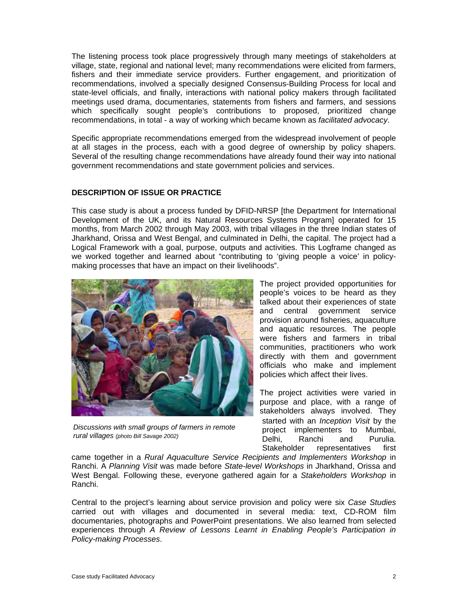The listening process took place progressively through many meetings of stakeholders at village, state, regional and national level; many recommendations were elicited from farmers, fishers and their immediate service providers. Further engagement, and prioritization of recommendations, involved a specially designed Consensus-Building Process for local and state-level officials, and finally, interactions with national policy makers through facilitated meetings used drama, documentaries, statements from fishers and farmers, and sessions which specifically sought people's contributions to proposed, prioritized change recommendations, in total - a way of working which became known as *facilitated advocacy*.

Specific appropriate recommendations emerged from the widespread involvement of people at all stages in the process, each with a good degree of ownership by policy shapers. Several of the resulting change recommendations have already found their way into national government recommendations and state government policies and services.

#### **DESCRIPTION OF ISSUE OR PRACTICE**

This case study is about a process funded by DFID-NRSP [the Department for International Development of the UK, and its Natural Resources Systems Program] operated for 15 months, from March 2002 through May 2003, with tribal villages in the three Indian states of Jharkhand, Orissa and West Bengal, and culminated in Delhi, the capital. The project had a Logical Framework with a goal, purpose, outputs and activities. This Logframe changed as we worked together and learned about "contributing to 'giving people a voice' in policymaking processes that have an impact on their livelihoods".



*Discussions with small groups of farmers in remote rural villages (photo Bill Savage 2002)*

The project provided opportunities for people's voices to be heard as they talked about their experiences of state and central government service provision around fisheries, aquaculture and aquatic resources. The people were fishers and farmers in tribal communities, practitioners who work directly with them and government officials who make and implement policies which affect their lives.

The project activities were varied in purpose and place, with a range of stakeholders always involved. They started with an *Inception Visit* by the project implementers to Mumbai, Delhi, Ranchi and Purulia. Stakeholder representatives first

came together in a *Rural Aquaculture Service Recipients and Implementers Workshop* in Ranchi. A *Planning Visit* was made before *State-level Workshops* in Jharkhand, Orissa and West Bengal. Following these, everyone gathered again for a *Stakeholders Workshop* in Ranchi.

Central to the project's learning about service provision and policy were six *Case Studies* carried out with villages and documented in several media: text, CD-ROM film documentaries, photographs and PowerPoint presentations. We also learned from selected experiences through *A Review of Lessons Learnt in Enabling People's Participation in Policy-making Processes*.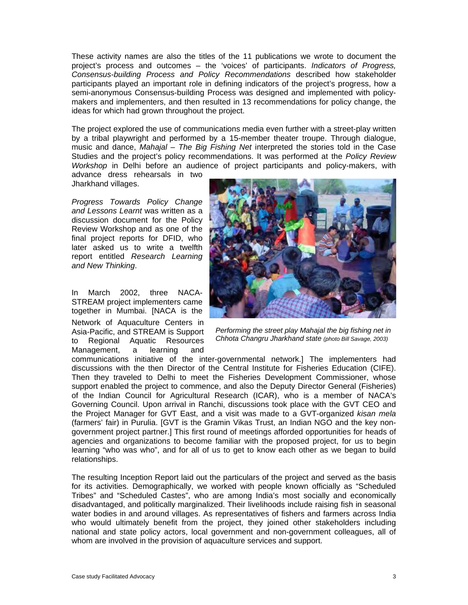These activity names are also the titles of the 11 publications we wrote to document the project's process and outcomes – the 'voices' of participants. *Indicators of Progress, Consensus-building Process and Policy Recommendations* described how stakeholder participants played an important role in defining indicators of the project's progress, how a semi-anonymous Consensus-building Process was designed and implemented with policymakers and implementers, and then resulted in 13 recommendations for policy change, the ideas for which had grown throughout the project.

The project explored the use of communications media even further with a street-play written by a tribal playwright and performed by a 15-member theater troupe. Through dialogue, music and dance, *Mahajal – The Big Fishing Net* interpreted the stories told in the Case Studies and the project's policy recommendations. It was performed at the *Policy Review Workshop* in Delhi before an audience of project participants and policy-makers, with

advance dress rehearsals in two Jharkhand villages.

*Progress Towards Policy Change and Lessons Learnt* was written as a discussion document for the Policy Review Workshop and as one of the final project reports for DFID, who later asked us to write a twelfth report entitled *Research Learning and New Thinking*.

In March 2002, three NACA-STREAM project implementers came together in Mumbai. [NACA is the

Network of Aquaculture Centers in Asia-Pacific, and STREAM is Support to Regional Aquatic Resources Management, a learning and



*Performing the street play Mahajal the big fishing net in Chhota Changru Jharkhand state (photo Bill Savage, 2003)*

communications initiative of the inter-governmental network.] The implementers had discussions with the then Director of the Central Institute for Fisheries Education (CIFE). Then they traveled to Delhi to meet the Fisheries Development Commissioner, whose support enabled the project to commence, and also the Deputy Director General (Fisheries) of the Indian Council for Agricultural Research (ICAR), who is a member of NACA's Governing Council. Upon arrival in Ranchi, discussions took place with the GVT CEO and the Project Manager for GVT East, and a visit was made to a GVT-organized *kisan mela* (farmers' fair) in Purulia. [GVT is the Gramin Vikas Trust, an Indian NGO and the key nongovernment project partner.] This first round of meetings afforded opportunities for heads of agencies and organizations to become familiar with the proposed project, for us to begin learning "who was who", and for all of us to get to know each other as we began to build relationships.

The resulting Inception Report laid out the particulars of the project and served as the basis for its activities. Demographically, we worked with people known officially as "Scheduled Tribes" and "Scheduled Castes", who are among India's most socially and economically disadvantaged, and politically marginalized. Their livelihoods include raising fish in seasonal water bodies in and around villages. As representatives of fishers and farmers across India who would ultimately benefit from the project, they joined other stakeholders including national and state policy actors, local government and non-government colleagues, all of whom are involved in the provision of aquaculture services and support.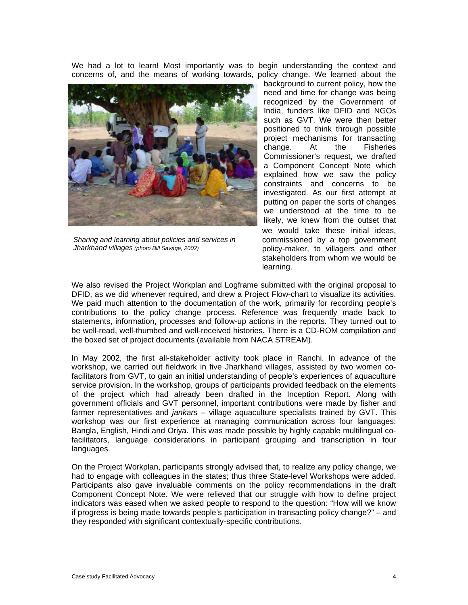We had a lot to learn! Most importantly was to begin understanding the context and concerns of, and the means of working towards, policy change. We learned about the



*Sharing and learning about policies and services in Jharkhand villages (photo Bill Savage, 2002)* 

background to current policy, how the need and time for change was being recognized by the Government of India, funders like DFID and NGOs such as GVT. We were then better positioned to think through possible project mechanisms for transacting change. At the Fisheries Commissioner's request, we drafted a Component Concept Note which explained how we saw the policy constraints and concerns to be investigated. As our first attempt at putting on paper the sorts of changes we understood at the time to be likely, we knew from the outset that we would take these initial ideas, commissioned by a top government policy-maker, to villagers and other stakeholders from whom we would be learning.

We also revised the Project Workplan and Logframe submitted with the original proposal to DFID, as we did whenever required, and drew a Project Flow-chart to visualize its activities. We paid much attention to the documentation of the work, primarily for recording people's contributions to the policy change process. Reference was frequently made back to statements, information, processes and follow-up actions in the reports. They turned out to be well-read, well-thumbed and well-received histories. There is a CD-ROM compilation and the boxed set of project documents (available from NACA STREAM).

In May 2002, the first all-stakeholder activity took place in Ranchi. In advance of the workshop, we carried out fieldwork in five Jharkhand villages, assisted by two women cofacilitators from GVT, to gain an initial understanding of people's experiences of aquaculture service provision. In the workshop, groups of participants provided feedback on the elements of the project which had already been drafted in the Inception Report. Along with government officials and GVT personnel, important contributions were made by fisher and farmer representatives and *jankars* – village aquaculture specialists trained by GVT. This workshop was our first experience at managing communication across four languages: Bangla, English, Hindi and Oriya. This was made possible by highly capable multilingual cofacilitators, language considerations in participant grouping and transcription in four languages.

On the Project Workplan, participants strongly advised that, to realize any policy change, we had to engage with colleagues in the states; thus three State-level Workshops were added. Participants also gave invaluable comments on the policy recommendations in the draft Component Concept Note. We were relieved that our struggle with how to define project indicators was eased when we asked people to respond to the question: "How will we know if progress is being made towards people's participation in transacting policy change?" – and they responded with significant contextually-specific contributions.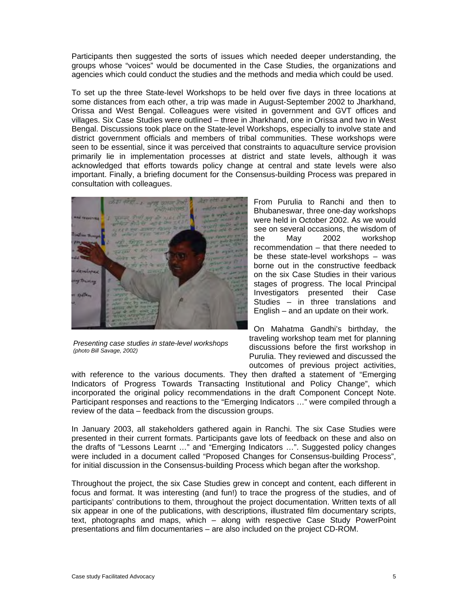Participants then suggested the sorts of issues which needed deeper understanding, the groups whose "voices" would be documented in the Case Studies, the organizations and agencies which could conduct the studies and the methods and media which could be used.

To set up the three State-level Workshops to be held over five days in three locations at some distances from each other, a trip was made in August-September 2002 to Jharkhand, Orissa and West Bengal. Colleagues were visited in government and GVT offices and villages. Six Case Studies were outlined – three in Jharkhand, one in Orissa and two in West Bengal. Discussions took place on the State-level Workshops, especially to involve state and district government officials and members of tribal communities. These workshops were seen to be essential, since it was perceived that constraints to aquaculture service provision primarily lie in implementation processes at district and state levels, although it was acknowledged that efforts towards policy change at central and state levels were also important. Finally, a briefing document for the Consensus-building Process was prepared in consultation with colleagues.



*Presenting case studies in state-level workshops (photo Bill Savage, 2002)* 

From Purulia to Ranchi and then to Bhubaneswar, three one-day workshops were held in October 2002. As we would see on several occasions, the wisdom of the May 2002 workshop recommendation – that there needed to be these state-level workshops – was borne out in the constructive feedback on the six Case Studies in their various stages of progress. The local Principal Investigators presented their Case Studies – in three translations and English – and an update on their work.

On Mahatma Gandhi's birthday, the traveling workshop team met for planning discussions before the first workshop in Purulia. They reviewed and discussed the outcomes of previous project activities,

with reference to the various documents. They then drafted a statement of "Emerging Indicators of Progress Towards Transacting Institutional and Policy Change", which incorporated the original policy recommendations in the draft Component Concept Note. Participant responses and reactions to the "Emerging Indicators …" were compiled through a review of the data – feedback from the discussion groups.

In January 2003, all stakeholders gathered again in Ranchi. The six Case Studies were presented in their current formats. Participants gave lots of feedback on these and also on the drafts of "Lessons Learnt …" and "Emerging Indicators …". Suggested policy changes were included in a document called "Proposed Changes for Consensus-building Process", for initial discussion in the Consensus-building Process which began after the workshop.

Throughout the project, the six Case Studies grew in concept and content, each different in focus and format. It was interesting (and fun!) to trace the progress of the studies, and of participants' contributions to them, throughout the project documentation. Written texts of all six appear in one of the publications, with descriptions, illustrated film documentary scripts, text, photographs and maps, which – along with respective Case Study PowerPoint presentations and film documentaries – are also included on the project CD-ROM.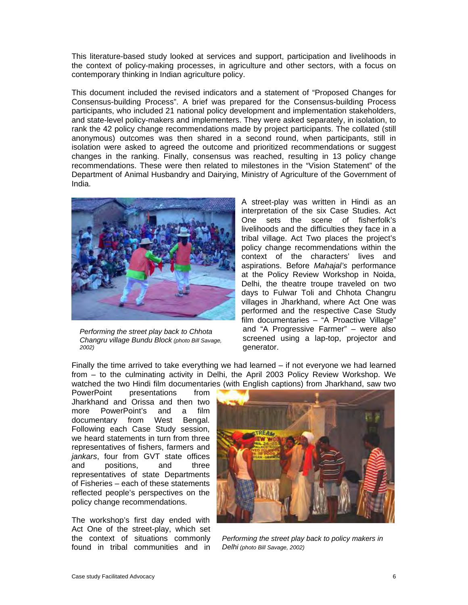This literature-based study looked at services and support, participation and livelihoods in the context of policy-making processes, in agriculture and other sectors, with a focus on contemporary thinking in Indian agriculture policy.

This document included the revised indicators and a statement of "Proposed Changes for Consensus-building Process". A brief was prepared for the Consensus-building Process participants, who included 21 national policy development and implementation stakeholders, and state-level policy-makers and implementers. They were asked separately, in isolation, to rank the 42 policy change recommendations made by project participants. The collated (still anonymous) outcomes was then shared in a second round, when participants, still in isolation were asked to agreed the outcome and prioritized recommendations or suggest changes in the ranking. Finally, consensus was reached, resulting in 13 policy change recommendations. These were then related to milestones in the "Vision Statement" of the Department of Animal Husbandry and Dairying, Ministry of Agriculture of the Government of India.



*Performing the street play back to Chhota Changru village Bundu Block (photo Bill Savage, 2002)* 

A street-play was written in Hindi as an interpretation of the six Case Studies. Act One sets the scene of fisherfolk's livelihoods and the difficulties they face in a tribal village. Act Two places the project's policy change recommendations within the context of the characters' lives and aspirations. Before *Mahajal's* performance at the Policy Review Workshop in Noida, Delhi, the theatre troupe traveled on two days to Fulwar Toli and Chhota Changru villages in Jharkhand, where Act One was performed and the respective Case Study film documentaries - "A Proactive Village" and "A Progressive Farmer" – were also screened using a lap-top, projector and generator.

Finally the time arrived to take everything we had learned – if not everyone we had learned from – to the culminating activity in Delhi, the April 2003 Policy Review Workshop. We watched the two Hindi film documentaries (with English captions) from Jharkhand, saw two<br>PowerPoint presentations from

presentations from Jharkhand and Orissa and then two more PowerPoint's and a film documentary from West Bengal. Following each Case Study session, we heard statements in turn from three representatives of fishers, farmers and *jankars*, four from GVT state offices and positions, and three representatives of state Departments of Fisheries – each of these statements reflected people's perspectives on the policy change recommendations.

The workshop's first day ended with Act One of the street-play, which set the context of situations commonly found in tribal communities and in



*Performing the street play back to policy makers in Delhi (photo Bill Savage, 2002)*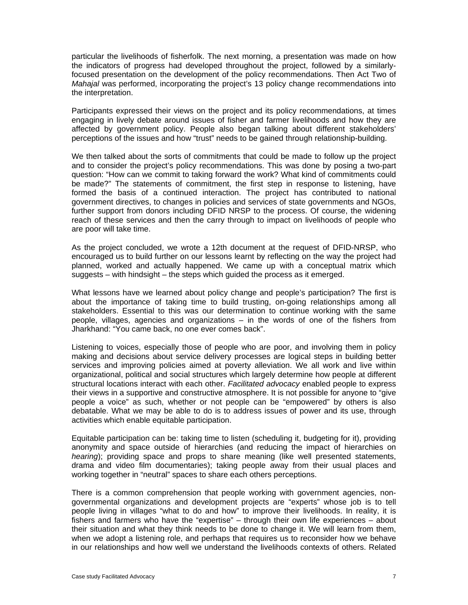particular the livelihoods of fisherfolk. The next morning, a presentation was made on how the indicators of progress had developed throughout the project, followed by a similarlyfocused presentation on the development of the policy recommendations. Then Act Two of *Mahajal* was performed, incorporating the project's 13 policy change recommendations into the interpretation.

Participants expressed their views on the project and its policy recommendations, at times engaging in lively debate around issues of fisher and farmer livelihoods and how they are affected by government policy. People also began talking about different stakeholders' perceptions of the issues and how "trust" needs to be gained through relationship-building.

We then talked about the sorts of commitments that could be made to follow up the project and to consider the project's policy recommendations. This was done by posing a two-part question: "How can we commit to taking forward the work? What kind of commitments could be made?" The statements of commitment, the first step in response to listening, have formed the basis of a continued interaction. The project has contributed to national government directives, to changes in policies and services of state governments and NGOs, further support from donors including DFID NRSP to the process. Of course, the widening reach of these services and then the carry through to impact on livelihoods of people who are poor will take time.

As the project concluded, we wrote a 12th document at the request of DFID-NRSP, who encouraged us to build further on our lessons learnt by reflecting on the way the project had planned, worked and actually happened. We came up with a conceptual matrix which suggests – with hindsight – the steps which guided the process as it emerged.

What lessons have we learned about policy change and people's participation? The first is about the importance of taking time to build trusting, on-going relationships among all stakeholders. Essential to this was our determination to continue working with the same people, villages, agencies and organizations – in the words of one of the fishers from Jharkhand: "You came back, no one ever comes back".

Listening to voices, especially those of people who are poor, and involving them in policy making and decisions about service delivery processes are logical steps in building better services and improving policies aimed at poverty alleviation. We all work and live within organizational, political and social structures which largely determine how people at different structural locations interact with each other. *Facilitated advocacy* enabled people to express their views in a supportive and constructive atmosphere. It is not possible for anyone to "give people a voice" as such, whether or not people can be "empowered" by others is also debatable. What we may be able to do is to address issues of power and its use, through activities which enable equitable participation.

Equitable participation can be: taking time to listen (scheduling it, budgeting for it), providing anonymity and space outside of hierarchies (and reducing the impact of hierarchies on *hearing*); providing space and props to share meaning (like well presented statements, drama and video film documentaries); taking people away from their usual places and working together in "neutral" spaces to share each others perceptions.

There is a common comprehension that people working with government agencies, nongovernmental organizations and development projects are "experts" whose job is to tell people living in villages "what to do and how" to improve their livelihoods. In reality, it is fishers and farmers who have the "expertise" – through their own life experiences – about their situation and what they think needs to be done to change it. We will learn from them, when we adopt a listening role, and perhaps that requires us to reconsider how we behave in our relationships and how well we understand the livelihoods contexts of others. Related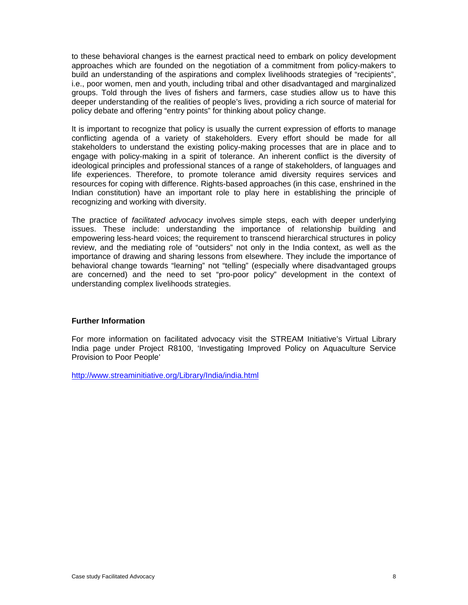to these behavioral changes is the earnest practical need to embark on policy development approaches which are founded on the negotiation of a commitment from policy-makers to build an understanding of the aspirations and complex livelihoods strategies of "recipients", i.e., poor women, men and youth, including tribal and other disadvantaged and marginalized groups. Told through the lives of fishers and farmers, case studies allow us to have this deeper understanding of the realities of people's lives, providing a rich source of material for policy debate and offering "entry points" for thinking about policy change.

It is important to recognize that policy is usually the current expression of efforts to manage conflicting agenda of a variety of stakeholders. Every effort should be made for all stakeholders to understand the existing policy-making processes that are in place and to engage with policy-making in a spirit of tolerance. An inherent conflict is the diversity of ideological principles and professional stances of a range of stakeholders, of languages and life experiences. Therefore, to promote tolerance amid diversity requires services and resources for coping with difference. Rights-based approaches (in this case, enshrined in the Indian constitution) have an important role to play here in establishing the principle of recognizing and working with diversity.

The practice of *facilitated advocacy* involves simple steps, each with deeper underlying issues. These include: understanding the importance of relationship building and empowering less-heard voices; the requirement to transcend hierarchical structures in policy review, and the mediating role of "outsiders" not only in the India context, as well as the importance of drawing and sharing lessons from elsewhere. They include the importance of behavioral change towards "learning" not "telling" (especially where disadvantaged groups are concerned) and the need to set "pro-poor policy" development in the context of understanding complex livelihoods strategies.

#### **Further Information**

For more information on facilitated advocacy visit the STREAM Initiative's Virtual Library India page under Project R8100, 'Investigating Improved Policy on Aquaculture Service Provision to Poor People'

http://www.streaminitiative.org/Library/India/india.html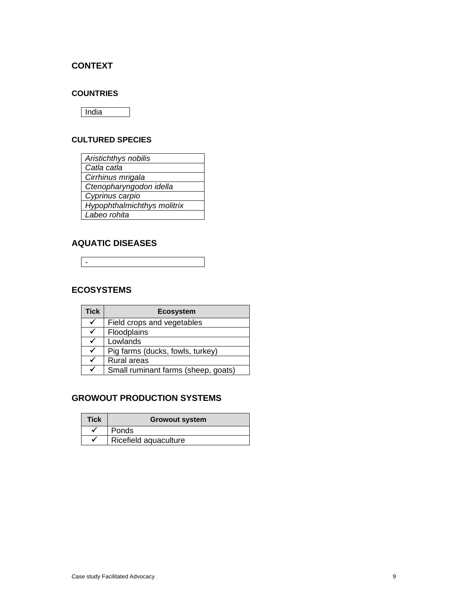# **CONTEXT**

### **COUNTRIES**

**India** 

### **CULTURED SPECIES**

| Aristichthys nobilis        |
|-----------------------------|
| Catla catla                 |
| Cirrhinus mrigala           |
| Ctenopharyngodon idella     |
| Cyprinus carpio             |
| Hypophthalmichthys molitrix |
| Labeo rohita                |

# **AQUATIC DISEASES**

-

# **ECOSYSTEMS**

| <b>Tick</b> | <b>Ecosystem</b>                    |
|-------------|-------------------------------------|
|             | Field crops and vegetables          |
|             | Floodplains                         |
|             | Lowlands                            |
|             | Pig farms (ducks, fowls, turkey)    |
|             | Rural areas                         |
|             | Small ruminant farms (sheep, goats) |

# **GROWOUT PRODUCTION SYSTEMS**

| <b>Tick</b> | <b>Growout system</b> |
|-------------|-----------------------|
|             | Ponds                 |
|             | Ricefield aquaculture |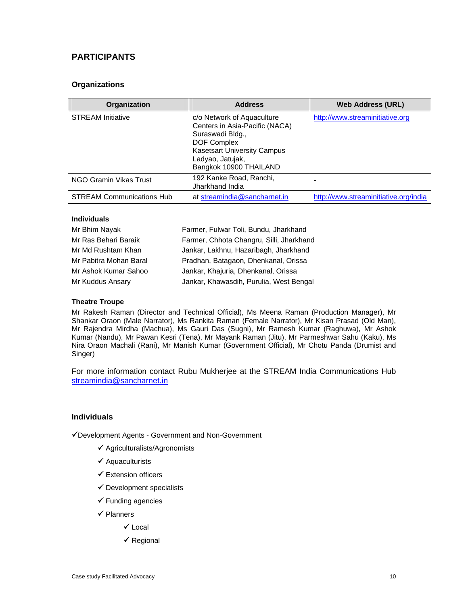# **PARTICIPANTS**

### **Organizations**

| Organization                     | <b>Address</b>                                                                                                                                                                             | <b>Web Address (URL)</b>              |
|----------------------------------|--------------------------------------------------------------------------------------------------------------------------------------------------------------------------------------------|---------------------------------------|
| <b>STREAM</b> Initiative         | c/o Network of Aquaculture<br>Centers in Asia-Pacific (NACA)<br>Suraswadi Bldg.,<br><b>DOF Complex</b><br><b>Kasetsart University Campus</b><br>Ladyao, Jatujak,<br>Bangkok 10900 THAILAND | http://www.streaminitiative.org       |
| NGO Gramin Vikas Trust           | 192 Kanke Road, Ranchi,<br>Jharkhand India                                                                                                                                                 |                                       |
| <b>STREAM Communications Hub</b> | at streamindia@sancharnet.in                                                                                                                                                               | http://www.streaminitiative.org/india |

#### **Individuals**

| Mr Bhim Nayak          | Farmer, Fulwar Toli, Bundu, Jharkhand    |
|------------------------|------------------------------------------|
| Mr Ras Behari Baraik   | Farmer, Chhota Changru, Silli, Jharkhand |
| Mr Md Rushtam Khan     | Jankar, Lakhnu, Hazaribagh, Jharkhand    |
| Mr Pabitra Mohan Baral | Pradhan, Batagaon, Dhenkanal, Orissa     |
| Mr Ashok Kumar Sahoo   | Jankar, Khajuria, Dhenkanal, Orissa      |
| Mr Kuddus Ansary       | Jankar, Khawasdih, Purulia, West Bengal  |

#### **Theatre Troupe**

Mr Rakesh Raman (Director and Technical Official), Ms Meena Raman (Production Manager), Mr Shankar Oraon (Male Narrator), Ms Rankita Raman (Female Narrator), Mr Kisan Prasad (Old Man), Mr Rajendra Mirdha (Machua), Ms Gauri Das (Sugni), Mr Ramesh Kumar (Raghuwa), Mr Ashok Kumar (Nandu), Mr Pawan Kesri (Tena), Mr Mayank Raman (Jitu), Mr Parmeshwar Sahu (Kaku), Ms Nira Oraon Machali (Rani), Mr Manish Kumar (Government Official), Mr Chotu Panda (Drumist and Singer)

For more information contact Rubu Mukherjee at the STREAM India Communications Hub streamindia@sancharnet.in

#### **Individuals**

Development Agents - Government and Non-Government

- $\checkmark$  Agriculturalists/Agronomists
- $\checkmark$  Aquaculturists
- $\checkmark$  Extension officers
- $\checkmark$  Development specialists
- $\checkmark$  Funding agencies
- $\checkmark$  Planners
	- $\checkmark$  Local
	- $\checkmark$  Regional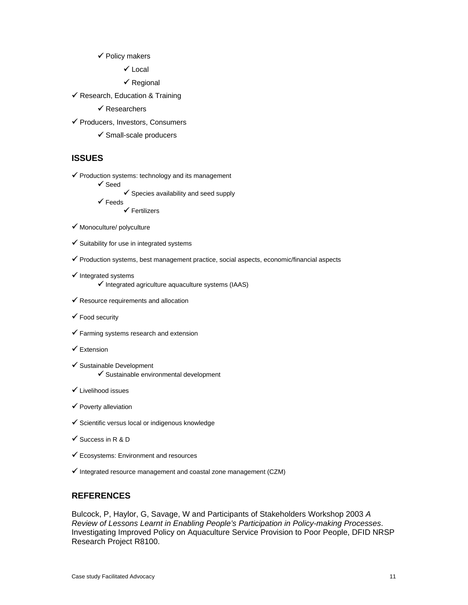#### $\checkmark$  Policy makers

 $\checkmark$  Local

- $\checkmark$  Regional
- $\checkmark$  Research, Education & Training
	- $\checkmark$  Researchers
- ◆ Producers, Investors, Consumers
	- $\checkmark$  Small-scale producers

### **ISSUES**

- $\checkmark$  Production systems: technology and its management
	- $\checkmark$  Seed
		- $\checkmark$  Species availability and seed supply
		- $\checkmark$  Feeds

 $\checkmark$  Fertilizers

- $\checkmark$  Monoculture/ polyculture
- $\checkmark$  Suitability for use in integrated systems
- $\checkmark$  Production systems, best management practice, social aspects, economic/financial aspects
- $\checkmark$  Integrated systems
	- $\checkmark$  Integrated agriculture aquaculture systems (IAAS)
- $\checkmark$  Resource requirements and allocation
- $\checkmark$  Food security
- $\checkmark$  Farming systems research and extension
- $\checkmark$  Extension
- $\checkmark$  Sustainable Development  $\checkmark$  Sustainable environmental development
- $\checkmark$  Livelihood issues
- $\checkmark$  Poverty alleviation
- $\checkmark$  Scientific versus local or indigenous knowledge
- $\checkmark$  Success in R & D
- $\checkmark$  Ecosystems: Environment and resources
- $\checkmark$  Integrated resource management and coastal zone management (CZM)

## **REFERENCES**

Bulcock, P, Haylor, G, Savage, W and Participants of Stakeholders Workshop 2003 *A Review of Lessons Learnt in Enabling People's Participation in Policy-making Processes*. Investigating Improved Policy on Aquaculture Service Provision to Poor People, DFID NRSP Research Project R8100.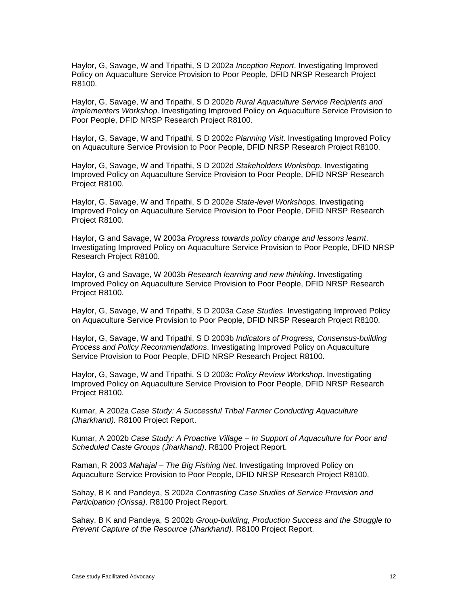Haylor, G, Savage, W and Tripathi, S D 2002a *Inception Report*. Investigating Improved Policy on Aquaculture Service Provision to Poor People, DFID NRSP Research Project R8100.

Haylor, G, Savage, W and Tripathi, S D 2002b *Rural Aquaculture Service Recipients and Implementers Workshop*. Investigating Improved Policy on Aquaculture Service Provision to Poor People, DFID NRSP Research Project R8100.

Haylor, G, Savage, W and Tripathi, S D 2002c *Planning Visit*. Investigating Improved Policy on Aquaculture Service Provision to Poor People, DFID NRSP Research Project R8100.

Haylor, G, Savage, W and Tripathi, S D 2002d *Stakeholders Workshop*. Investigating Improved Policy on Aquaculture Service Provision to Poor People, DFID NRSP Research Project R8100.

Haylor, G, Savage, W and Tripathi, S D 2002e *State-level Workshops*. Investigating Improved Policy on Aquaculture Service Provision to Poor People, DFID NRSP Research Project R8100.

Haylor, G and Savage, W 2003a *Progress towards policy change and lessons learnt*. Investigating Improved Policy on Aquaculture Service Provision to Poor People, DFID NRSP Research Project R8100.

Haylor, G and Savage, W 2003b *Research learning and new thinking*. Investigating Improved Policy on Aquaculture Service Provision to Poor People, DFID NRSP Research Project R8100.

Haylor, G, Savage, W and Tripathi, S D 2003a *Case Studies*. Investigating Improved Policy on Aquaculture Service Provision to Poor People, DFID NRSP Research Project R8100.

Haylor, G, Savage, W and Tripathi, S D 2003b *Indicators of Progress, Consensus-building Process and Policy Recommendations*. Investigating Improved Policy on Aquaculture Service Provision to Poor People, DFID NRSP Research Project R8100.

Haylor, G, Savage, W and Tripathi, S D 2003c *Policy Review Workshop*. Investigating Improved Policy on Aquaculture Service Provision to Poor People, DFID NRSP Research Project R8100.

Kumar, A 2002a *Case Study: A Successful Tribal Farmer Conducting Aquaculture (Jharkhand).* R8100 Project Report.

Kumar, A 2002b *Case Study: A Proactive Village – In Support of Aquaculture for Poor and Scheduled Caste Groups (Jharkhand)*. R8100 Project Report.

Raman, R 2003 *Mahajal – The Big Fishing Net*. Investigating Improved Policy on Aquaculture Service Provision to Poor People, DFID NRSP Research Project R8100.

Sahay, B K and Pandeya, S 2002a *Contrasting Case Studies of Service Provision and Participation (Orissa)*. R8100 Project Report.

Sahay, B K and Pandeya, S 2002b *Group-building, Production Success and the Struggle to Prevent Capture of the Resource (Jharkhand)*. R8100 Project Report.